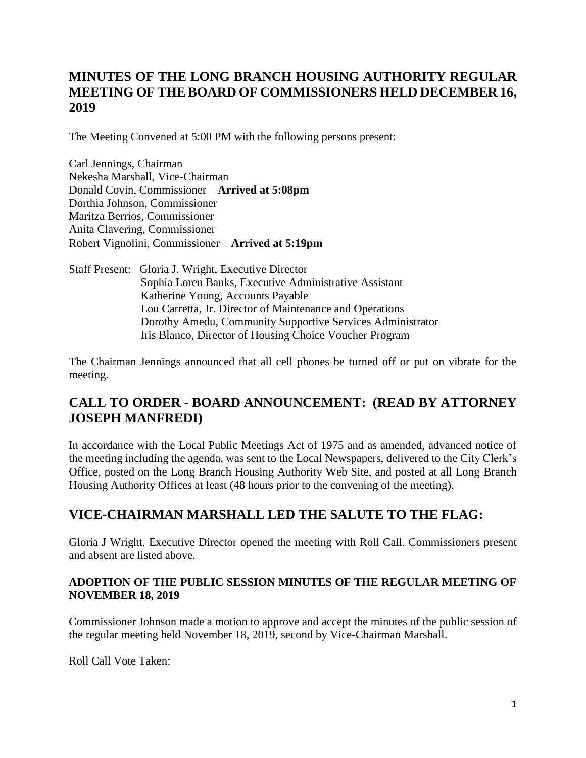# **MINUTES OF THE LONG BRANCH HOUSING AUTHORITY REGULAR MEETING OF THE BOARD OF COMMISSIONERS HELD DECEMBER 16, 2019**

The Meeting Convened at 5:00 PM with the following persons present:

Carl Jennings, Chairman Nekesha Marshall, Vice-Chairman Donald Covin, Commissioner – **Arrived at 5:08pm** Dorthia Johnson, Commissioner Maritza Berrios, Commissioner Anita Clavering, Commissioner Robert Vignolini, Commissioner – **Arrived at 5:19pm**

Staff Present: Gloria J. Wright, Executive Director Sophia Loren Banks, Executive Administrative Assistant Katherine Young, Accounts Payable Lou Carretta, Jr. Director of Maintenance and Operations Dorothy Amedu, Community Supportive Services Administrator Iris Blanco, Director of Housing Choice Voucher Program

The Chairman Jennings announced that all cell phones be turned off or put on vibrate for the meeting.

# **CALL TO ORDER - BOARD ANNOUNCEMENT: (READ BY ATTORNEY JOSEPH MANFREDI)**

In accordance with the Local Public Meetings Act of 1975 and as amended, advanced notice of the meeting including the agenda, was sent to the Local Newspapers, delivered to the City Clerk's Office, posted on the Long Branch Housing Authority Web Site, and posted at all Long Branch Housing Authority Offices at least (48 hours prior to the convening of the meeting).

# **VICE-CHAIRMAN MARSHALL LED THE SALUTE TO THE FLAG:**

Gloria J Wright, Executive Director opened the meeting with Roll Call. Commissioners present and absent are listed above.

#### **ADOPTION OF THE PUBLIC SESSION MINUTES OF THE REGULAR MEETING OF NOVEMBER 18, 2019**

Commissioner Johnson made a motion to approve and accept the minutes of the public session of the regular meeting held November 18, 2019, second by Vice-Chairman Marshall.

Roll Call Vote Taken: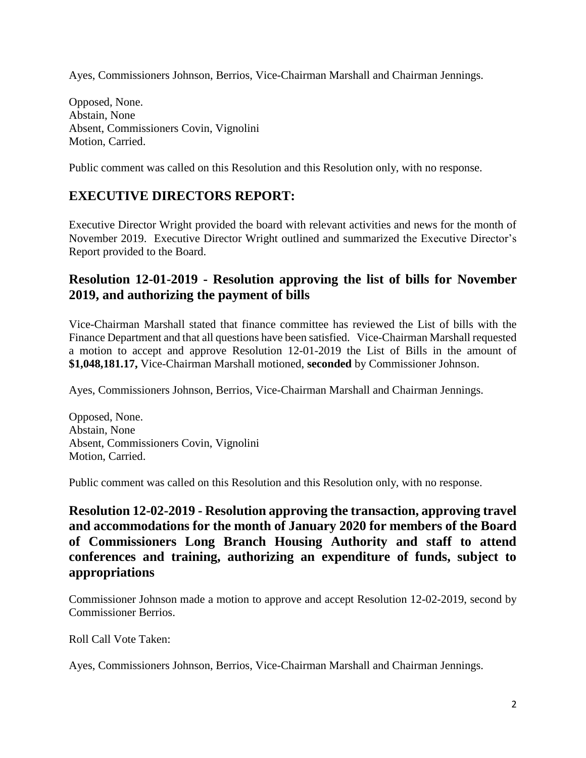Ayes, Commissioners Johnson, Berrios, Vice-Chairman Marshall and Chairman Jennings.

Opposed, None. Abstain, None Absent, Commissioners Covin, Vignolini Motion, Carried.

Public comment was called on this Resolution and this Resolution only, with no response.

# **EXECUTIVE DIRECTORS REPORT:**

Executive Director Wright provided the board with relevant activities and news for the month of November 2019. Executive Director Wright outlined and summarized the Executive Director's Report provided to the Board.

#### **Resolution 12-01-2019 - Resolution approving the list of bills for November 2019, and authorizing the payment of bills**

Vice-Chairman Marshall stated that finance committee has reviewed the List of bills with the Finance Department and that all questions have been satisfied. Vice-Chairman Marshall requested a motion to accept and approve Resolution 12-01-2019 the List of Bills in the amount of **\$1,048,181.17,** Vice-Chairman Marshall motioned, **seconded** by Commissioner Johnson.

Ayes, Commissioners Johnson, Berrios, Vice-Chairman Marshall and Chairman Jennings.

Opposed, None. Abstain, None Absent, Commissioners Covin, Vignolini Motion, Carried.

Public comment was called on this Resolution and this Resolution only, with no response.

**Resolution 12-02-2019 - Resolution approving the transaction, approving travel and accommodations for the month of January 2020 for members of the Board of Commissioners Long Branch Housing Authority and staff to attend conferences and training, authorizing an expenditure of funds, subject to appropriations** 

Commissioner Johnson made a motion to approve and accept Resolution 12-02-2019, second by Commissioner Berrios.

Roll Call Vote Taken:

Ayes, Commissioners Johnson, Berrios, Vice-Chairman Marshall and Chairman Jennings.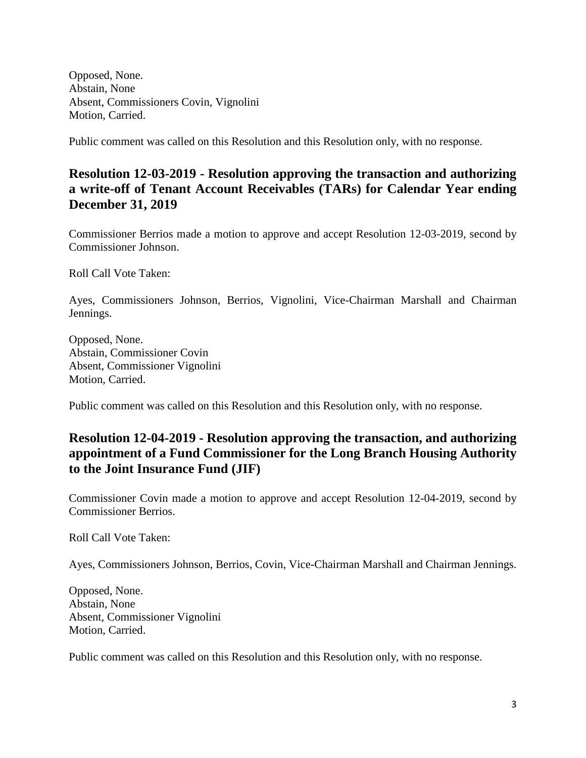Opposed, None. Abstain, None Absent, Commissioners Covin, Vignolini Motion, Carried.

Public comment was called on this Resolution and this Resolution only, with no response.

## **Resolution 12-03-2019 - Resolution approving the transaction and authorizing a write-off of Tenant Account Receivables (TARs) for Calendar Year ending December 31, 2019**

Commissioner Berrios made a motion to approve and accept Resolution 12-03-2019, second by Commissioner Johnson.

Roll Call Vote Taken:

Ayes, Commissioners Johnson, Berrios, Vignolini, Vice-Chairman Marshall and Chairman Jennings.

Opposed, None. Abstain, Commissioner Covin Absent, Commissioner Vignolini Motion, Carried.

Public comment was called on this Resolution and this Resolution only, with no response.

# **Resolution 12-04-2019 - Resolution approving the transaction, and authorizing appointment of a Fund Commissioner for the Long Branch Housing Authority to the Joint Insurance Fund (JIF)**

Commissioner Covin made a motion to approve and accept Resolution 12-04-2019, second by Commissioner Berrios.

Roll Call Vote Taken:

Ayes, Commissioners Johnson, Berrios, Covin, Vice-Chairman Marshall and Chairman Jennings.

Opposed, None. Abstain, None Absent, Commissioner Vignolini Motion, Carried.

Public comment was called on this Resolution and this Resolution only, with no response.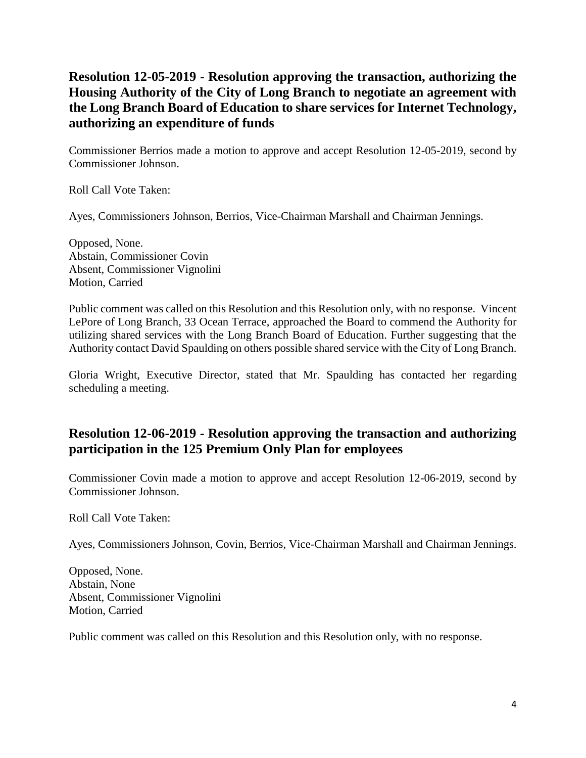# **Resolution 12-05-2019 - Resolution approving the transaction, authorizing the Housing Authority of the City of Long Branch to negotiate an agreement with the Long Branch Board of Education to share services for Internet Technology, authorizing an expenditure of funds**

Commissioner Berrios made a motion to approve and accept Resolution 12-05-2019, second by Commissioner Johnson.

Roll Call Vote Taken:

Ayes, Commissioners Johnson, Berrios, Vice-Chairman Marshall and Chairman Jennings.

Opposed, None. Abstain, Commissioner Covin Absent, Commissioner Vignolini Motion, Carried

Public comment was called on this Resolution and this Resolution only, with no response. Vincent LePore of Long Branch, 33 Ocean Terrace, approached the Board to commend the Authority for utilizing shared services with the Long Branch Board of Education. Further suggesting that the Authority contact David Spaulding on others possible shared service with the City of Long Branch.

Gloria Wright, Executive Director, stated that Mr. Spaulding has contacted her regarding scheduling a meeting.

# **Resolution 12-06-2019 - Resolution approving the transaction and authorizing participation in the 125 Premium Only Plan for employees**

Commissioner Covin made a motion to approve and accept Resolution 12-06-2019, second by Commissioner Johnson.

Roll Call Vote Taken:

Ayes, Commissioners Johnson, Covin, Berrios, Vice-Chairman Marshall and Chairman Jennings.

Opposed, None. Abstain, None Absent, Commissioner Vignolini Motion, Carried

Public comment was called on this Resolution and this Resolution only, with no response.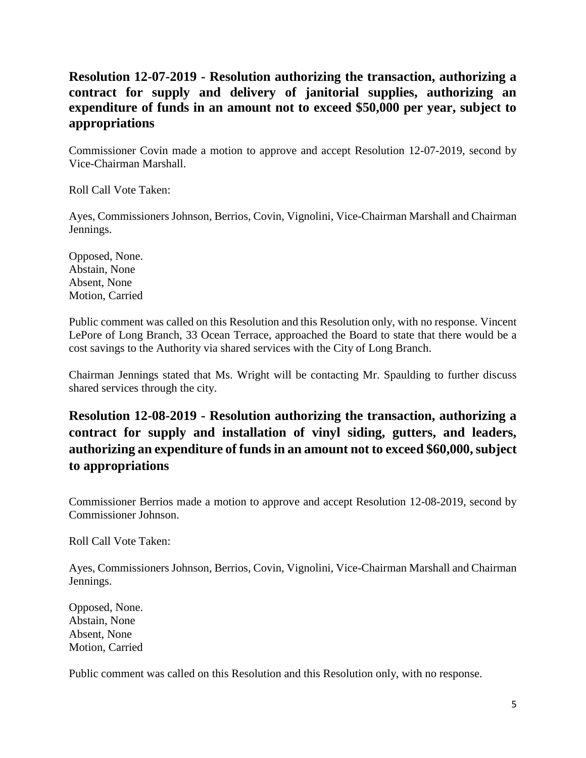## **Resolution 12-07-2019 - Resolution authorizing the transaction, authorizing a contract for supply and delivery of janitorial supplies, authorizing an expenditure of funds in an amount not to exceed \$50,000 per year, subject to appropriations**

Commissioner Covin made a motion to approve and accept Resolution 12-07-2019, second by Vice-Chairman Marshall.

Roll Call Vote Taken:

Ayes, Commissioners Johnson, Berrios, Covin, Vignolini, Vice-Chairman Marshall and Chairman Jennings.

Opposed, None. Abstain, None Absent, None Motion, Carried

Public comment was called on this Resolution and this Resolution only, with no response. Vincent LePore of Long Branch, 33 Ocean Terrace, approached the Board to state that there would be a cost savings to the Authority via shared services with the City of Long Branch.

Chairman Jennings stated that Ms. Wright will be contacting Mr. Spaulding to further discuss shared services through the city.

# **Resolution 12-08-2019 - Resolution authorizing the transaction, authorizing a contract for supply and installation of vinyl siding, gutters, and leaders, authorizing an expenditure of funds in an amount not to exceed \$60,000, subject to appropriations**

Commissioner Berrios made a motion to approve and accept Resolution 12-08-2019, second by Commissioner Johnson.

Roll Call Vote Taken:

Ayes, Commissioners Johnson, Berrios, Covin, Vignolini, Vice-Chairman Marshall and Chairman Jennings.

Opposed, None. Abstain, None Absent, None Motion, Carried

Public comment was called on this Resolution and this Resolution only, with no response.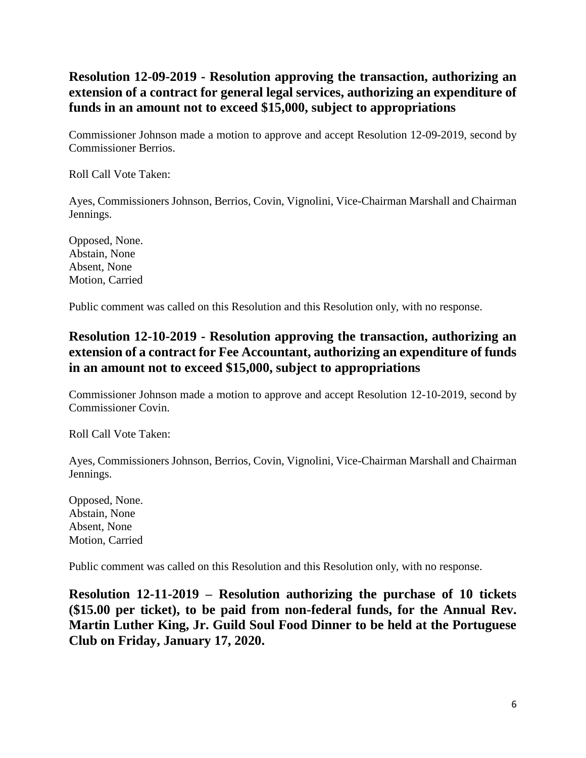# **Resolution 12-09-2019 - Resolution approving the transaction, authorizing an extension of a contract for general legal services, authorizing an expenditure of funds in an amount not to exceed \$15,000, subject to appropriations**

Commissioner Johnson made a motion to approve and accept Resolution 12-09-2019, second by Commissioner Berrios.

Roll Call Vote Taken:

Ayes, Commissioners Johnson, Berrios, Covin, Vignolini, Vice-Chairman Marshall and Chairman Jennings.

Opposed, None. Abstain, None Absent, None Motion, Carried

Public comment was called on this Resolution and this Resolution only, with no response.

# **Resolution 12-10-2019 - Resolution approving the transaction, authorizing an extension of a contract for Fee Accountant, authorizing an expenditure of funds in an amount not to exceed \$15,000, subject to appropriations**

Commissioner Johnson made a motion to approve and accept Resolution 12-10-2019, second by Commissioner Covin.

Roll Call Vote Taken:

Ayes, Commissioners Johnson, Berrios, Covin, Vignolini, Vice-Chairman Marshall and Chairman Jennings.

Opposed, None. Abstain, None Absent, None Motion, Carried

Public comment was called on this Resolution and this Resolution only, with no response.

**Resolution 12-11-2019 – Resolution authorizing the purchase of 10 tickets (\$15.00 per ticket), to be paid from non-federal funds, for the Annual Rev. Martin Luther King, Jr. Guild Soul Food Dinner to be held at the Portuguese Club on Friday, January 17, 2020.**